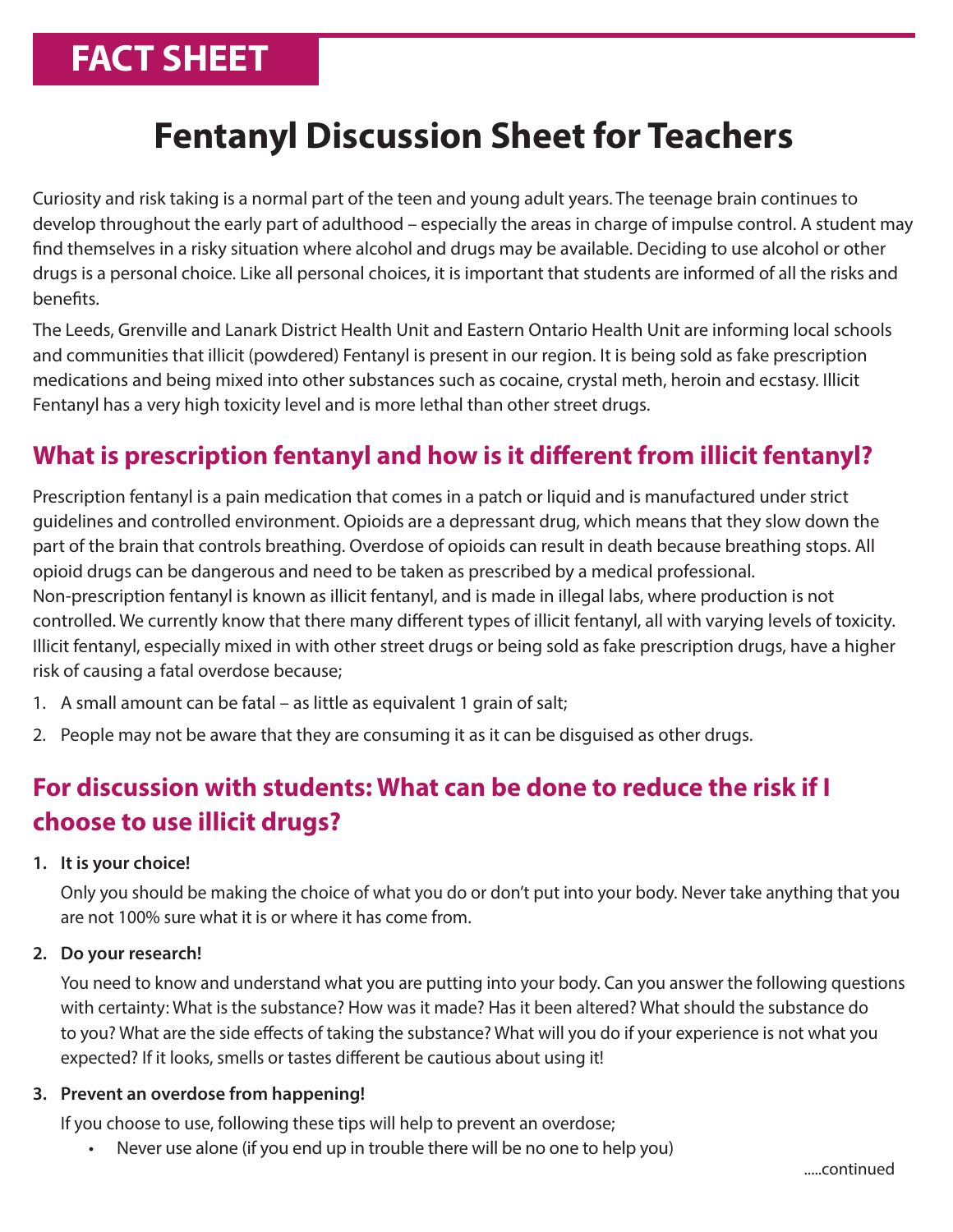# **FACT SHEET**

# **Fentanyl Discussion Sheet for Teachers**

Curiosity and risk taking is a normal part of the teen and young adult years. The teenage brain continues to develop throughout the early part of adulthood – especially the areas in charge of impulse control. A student may find themselves in a risky situation where alcohol and drugs may be available. Deciding to use alcohol or other drugs is a personal choice. Like all personal choices, it is important that students are informed of all the risks and benefits.

The Leeds, Grenville and Lanark District Health Unit and Eastern Ontario Health Unit are informing local schools and communities that illicit (powdered) Fentanyl is present in our region. It is being sold as fake prescription medications and being mixed into other substances such as cocaine, crystal meth, heroin and ecstasy. Illicit Fentanyl has a very high toxicity level and is more lethal than other street drugs.

### **What is prescription fentanyl and how is it different from illicit fentanyl?**

Prescription fentanyl is a pain medication that comes in a patch or liquid and is manufactured under strict guidelines and controlled environment. Opioids are a depressant drug, which means that they slow down the part of the brain that controls breathing. Overdose of opioids can result in death because breathing stops. All opioid drugs can be dangerous and need to be taken as prescribed by a medical professional. Non-prescription fentanyl is known as illicit fentanyl, and is made in illegal labs, where production is not controlled. We currently know that there many different types of illicit fentanyl, all with varying levels of toxicity. Illicit fentanyl, especially mixed in with other street drugs or being sold as fake prescription drugs, have a higher risk of causing a fatal overdose because;

- 1. A small amount can be fatal as little as equivalent 1 grain of salt;
- 2. People may not be aware that they are consuming it as it can be disguised as other drugs.

## **For discussion with students: What can be done to reduce the risk if I choose to use illicit drugs?**

#### **1. It is your choice!**

Only you should be making the choice of what you do or don't put into your body. Never take anything that you are not 100% sure what it is or where it has come from.

#### **2. Do your research!**

You need to know and understand what you are putting into your body. Can you answer the following questions with certainty: What is the substance? How was it made? Has it been altered? What should the substance do to you? What are the side effects of taking the substance? What will you do if your experience is not what you expected? If it looks, smells or tastes different be cautious about using it!

#### **3. Prevent an overdose from happening!**

If you choose to use, following these tips will help to prevent an overdose;

• Never use alone (if you end up in trouble there will be no one to help you)

.....continued